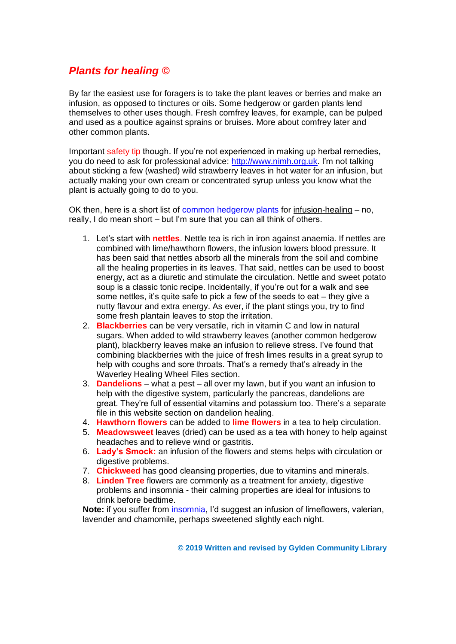# *Plants for healing ©*

By far the easiest use for foragers is to take the plant leaves or berries and make an infusion, as opposed to tinctures or oils. Some hedgerow or garden plants lend themselves to other uses though. Fresh comfrey leaves, for example, can be pulped and used as a poultice against sprains or bruises. More about comfrey later and other common plants.

Important safety tip though. If you're not experienced in making up herbal remedies, you do need to ask for professional advice: [http://www.nimh.org.uk.](http://www.nimh.org.uk/) I'm not talking about sticking a few (washed) wild strawberry leaves in hot water for an infusion, but actually making your own cream or concentrated syrup unless you know what the plant is actually going to do to you.

OK then, here is a short list of common hedgerow plants for infusion-healing – no, really, I do mean short – but I'm sure that you can all think of others.

- 1. Let's start with **nettles**. Nettle tea is rich in iron against anaemia. If nettles are combined with lime/hawthorn flowers, the infusion lowers blood pressure. It has been said that nettles absorb all the minerals from the soil and combine all the healing properties in its leaves. That said, nettles can be used to boost energy, act as a diuretic and stimulate the circulation. Nettle and sweet potato soup is a classic tonic recipe. Incidentally, if you're out for a walk and see some nettles, it's quite safe to pick a few of the seeds to eat – they give a nutty flavour and extra energy. As ever, if the plant stings you, try to find some fresh plantain leaves to stop the irritation.
- 2. **Blackberries** can be very versatile, rich in vitamin C and low in natural sugars. When added to wild strawberry leaves (another common hedgerow plant), blackberry leaves make an infusion to relieve stress. I've found that combining blackberries with the juice of fresh limes results in a great syrup to help with coughs and sore throats. That's a remedy that's already in the Waverley Healing Wheel Files section.
- 3. **Dandelions** what a pest all over my lawn, but if you want an infusion to help with the digestive system, particularly the pancreas, dandelions are great. They're full of essential vitamins and potassium too. There's a separate file in this website section on dandelion healing.
- 4. **Hawthorn flowers** can be added to **lime flowers** in a tea to help circulation.
- 5. **Meadowsweet** leaves (dried) can be used as a tea with honey to help against headaches and to relieve wind or gastritis.
- 6. **Lady's Smock:** an infusion of the flowers and stems helps with circulation or digestive problems.
- 7. **Chickweed** has good cleansing properties, due to vitamins and minerals.
- 8. **Linden Tree** flowers are commonly as a treatment for anxiety, digestive problems and insomnia - their calming properties are ideal for infusions to drink before bedtime.

**Note:** if you suffer from insomnia, I'd suggest an infusion of limeflowers, valerian, lavender and chamomile, perhaps sweetened slightly each night.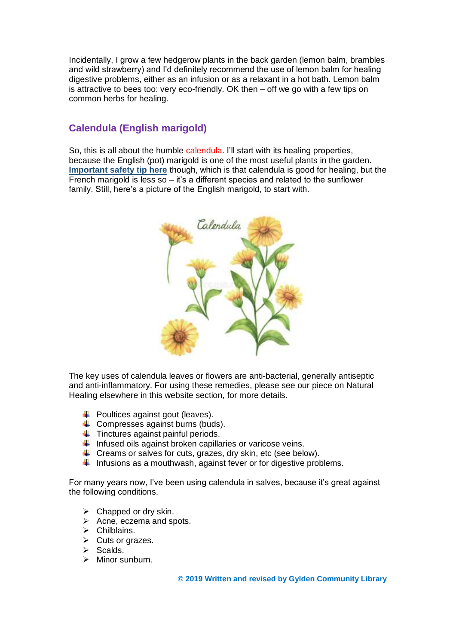Incidentally, I grow a few hedgerow plants in the back garden (lemon balm, brambles and wild strawberry) and I'd definitely recommend the use of lemon balm for healing digestive problems, either as an infusion or as a relaxant in a hot bath. Lemon balm is attractive to bees too: very eco-friendly. OK then – off we go with a few tips on common herbs for healing.

# **Calendula (English marigold)**

So, this is all about the humble calendula. I'll start with its healing properties, because the English (pot) marigold is one of the most useful plants in the garden. **Important safety tip here** though, which is that calendula is good for healing, but the French marigold is less  $\overline{so}$  – it's a different species and related to the sunflower family. Still, here's a picture of the English marigold, to start with.



The key uses of calendula leaves or flowers are anti-bacterial, generally antiseptic and anti-inflammatory. For using these remedies, please see our piece on Natural Healing elsewhere in this website section, for more details.

- $\leftarrow$  Poultices against gout (leaves).
- $\leftarrow$  Compresses against burns (buds).
- $\ddot{\phantom{1}}$  Tinctures against painful periods.
- $\downarrow$  Infused oils against broken capillaries or varicose veins.
- $\downarrow$  Creams or salves for cuts, grazes, dry skin, etc (see below).
- $\ddot{\phantom{1}}$  Infusions as a mouthwash, against fever or for digestive problems.

For many years now, I've been using calendula in salves, because it's great against the following conditions.

- $\triangleright$  Chapped or dry skin.
- $\triangleright$  Acne, eczema and spots.
- ➢ Chilblains.
- ➢ Cuts or grazes.
- ➢ Scalds.
- ➢ Minor sunburn.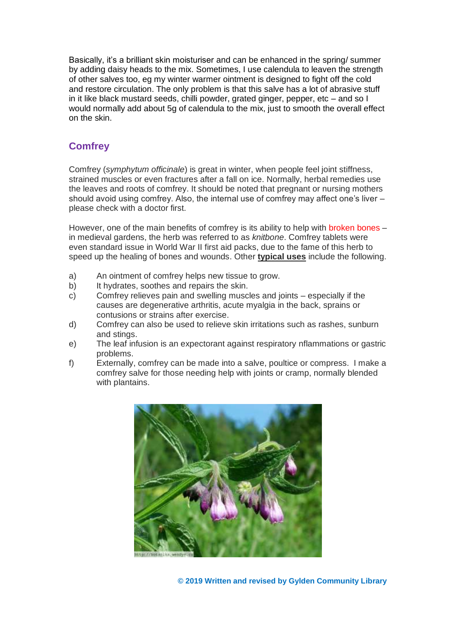Basically, it's a brilliant skin moisturiser and can be enhanced in the spring/ summer by adding daisy heads to the mix. Sometimes, I use calendula to leaven the strength of other salves too, eg my winter warmer ointment is designed to fight off the cold and restore circulation. The only problem is that this salve has a lot of abrasive stuff in it like black mustard seeds, chilli powder, grated ginger, pepper, etc – and so I would normally add about 5g of calendula to the mix, just to smooth the overall effect on the skin.

### **Comfrey**

Comfrey (*symphytum officinale*) is great in winter, when people feel joint stiffness, strained muscles or even fractures after a fall on ice. Normally, herbal remedies use the leaves and roots of comfrey. It should be noted that pregnant or nursing mothers should avoid using comfrey. Also, the internal use of comfrey may affect one's liver – please check with a doctor first.

However, one of the main benefits of comfrey is its ability to help with broken bones – in medieval gardens, the herb was referred to as *knitbone*. Comfrey tablets were even standard issue in World War II first aid packs, due to the fame of this herb to speed up the healing of bones and wounds. Other **typical uses** include the following.

- a) An ointment of comfrey helps new tissue to grow.
- b) It hydrates, soothes and repairs the skin.
- c) Comfrey relieves pain and swelling muscles and joints especially if the causes are degenerative arthritis, acute myalgia in the back, sprains or contusions or strains after exercise.
- d) Comfrey can also be used to relieve skin irritations such as rashes, sunburn and stings.
- e) The leaf infusion is an expectorant against respiratory nflammations or gastric problems.
- f) Externally, comfrey can be made into a salve, poultice or compress. I make a comfrey salve for those needing help with joints or cramp, normally blended with plantains.

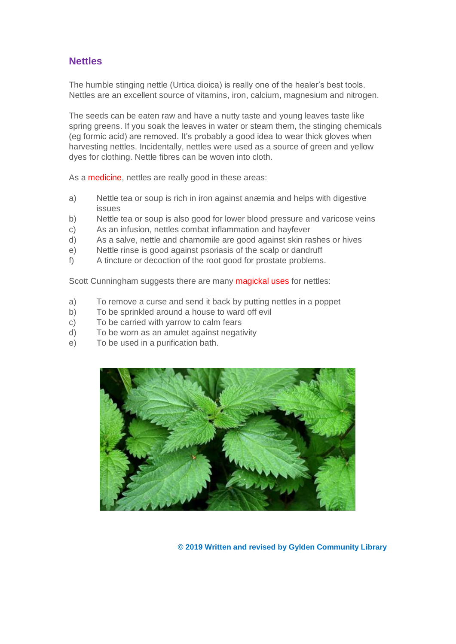# **Nettles**

The humble stinging nettle (Urtica dioica) is really one of the healer's best tools. Nettles are an excellent source of vitamins, iron, calcium, magnesium and nitrogen.

The seeds can be eaten raw and have a nutty taste and young leaves taste like spring greens. If you soak the leaves in water or steam them, the stinging chemicals (eg formic acid) are removed. It's probably a good idea to wear thick gloves when harvesting nettles. Incidentally, nettles were used as a source of green and yellow dyes for clothing. Nettle fibres can be woven into cloth.

As a **medicine**, nettles are really good in these areas:

- a) Nettle tea or soup is rich in iron against anæmia and helps with digestive issues
- b) Nettle tea or soup is also good for lower blood pressure and varicose veins
- c) As an infusion, nettles combat inflammation and hayfever
- d) As a salve, nettle and chamomile are good against skin rashes or hives
- e) Nettle rinse is good against psoriasis of the scalp or dandruff
- f) A tincture or decoction of the root good for prostate problems.

Scott Cunningham suggests there are many magickal uses for nettles:

- a) To remove a curse and send it back by putting nettles in a poppet
- b) To be sprinkled around a house to ward off evil
- c) To be carried with yarrow to calm fears
- d) To be worn as an amulet against negativity
- e) To be used in a purification bath.

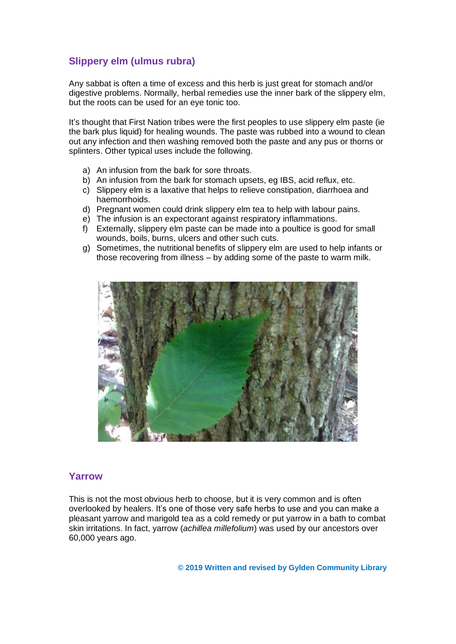# **Slippery elm (ulmus rubra)**

Any sabbat is often a time of excess and this herb is just great for stomach and/or digestive problems. Normally, herbal remedies use the inner bark of the slippery elm, but the roots can be used for an eye tonic too.

It's thought that First Nation tribes were the first peoples to use slippery elm paste (ie the bark plus liquid) for healing wounds. The paste was rubbed into a wound to clean out any infection and then washing removed both the paste and any pus or thorns or splinters. Other typical uses include the following.

- a) An infusion from the bark for sore throats.
- b) An infusion from the bark for stomach upsets, eg IBS, acid reflux, etc.
- c) Slippery elm is a laxative that helps to relieve constipation, diarrhoea and haemorrhoids.
- d) Pregnant women could drink slippery elm tea to help with labour pains.
- e) The infusion is an expectorant against respiratory inflammations.
- f) Externally, slippery elm paste can be made into a poultice is good for small wounds, boils, burns, ulcers and other such cuts.
- g) Sometimes, the nutritional benefits of slippery elm are used to help infants or those recovering from illness – by adding some of the paste to warm milk.



#### **Yarrow**

This is not the most obvious herb to choose, but it is very common and is often overlooked by healers. It's one of those very safe herbs to use and you can make a pleasant yarrow and marigold tea as a cold remedy or put yarrow in a bath to combat skin irritations. In fact, yarrow (*achillea millefolium*) was used by our ancestors over 60,000 years ago.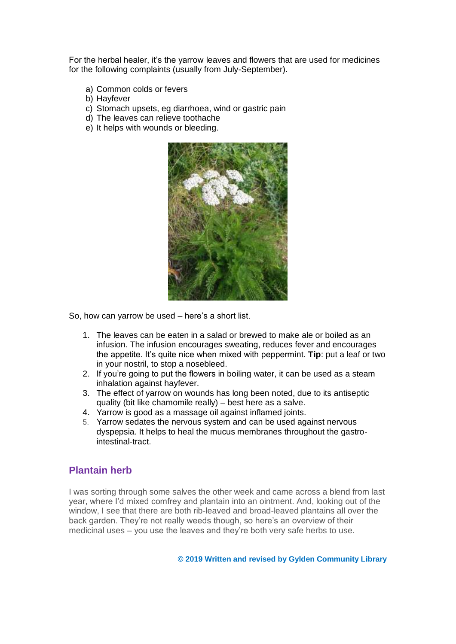For the herbal healer, it's the yarrow leaves and flowers that are used for medicines for the following complaints (usually from July-September).

- a) Common colds or fevers
- b) Hayfever
- c) Stomach upsets, eg diarrhoea, wind or gastric pain
- d) The leaves can relieve toothache
- e) It helps with wounds or bleeding.



So, how can yarrow be used – here's a short list.

- 1. The leaves can be eaten in a salad or brewed to make ale or boiled as an infusion. The infusion encourages sweating, reduces fever and encourages the appetite. It's quite nice when mixed with peppermint. **Tip**: put a leaf or two in your nostril, to stop a nosebleed.
- 2. If you're going to put the flowers in boiling water, it can be used as a steam inhalation against hayfever.
- 3. The effect of yarrow on wounds has long been noted, due to its antiseptic quality (bit like chamomile really) – best here as a salve.
- 4. Yarrow is good as a massage oil against inflamed joints.
- 5. Yarrow sedates the nervous system and can be used against nervous dyspepsia. It helps to heal the mucus membranes throughout the gastrointestinal-tract.

#### **Plantain herb**

I was sorting through some salves the other week and came across a blend from last year, where I'd mixed comfrey and plantain into an ointment. And, looking out of the window, I see that there are both rib-leaved and broad-leaved plantains all over the back garden. They're not really weeds though, so here's an overview of their medicinal uses – you use the leaves and they're both very safe herbs to use.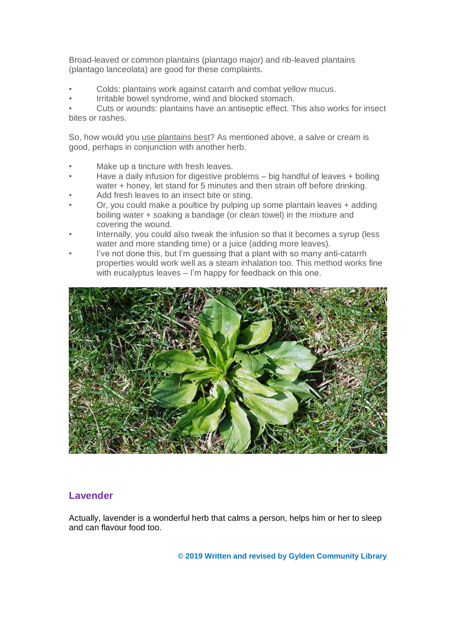Broad-leaved or common plantains (plantago major) and rib-leaved plantains (plantago lanceolata) are good for these complaints.

- Colds: plantains work against catarrh and combat yellow mucus.
- Irritable bowel syndrome, wind and blocked stomach.

• Cuts or wounds: plantains have an antiseptic effect. This also works for insect bites or rashes.

So, how would you use plantains best? As mentioned above, a salve or cream is good, perhaps in conjunction with another herb.

- Make up a tincture with fresh leaves.
- Have a daily infusion for digestive problems big handful of leaves + boiling water + honey, let stand for 5 minutes and then strain off before drinking.
- Add fresh leaves to an insect bite or sting.
- Or, you could make a poultice by pulping up some plantain leaves + adding boiling water + soaking a bandage (or clean towel) in the mixture and covering the wound.
- Internally, you could also tweak the infusion so that it becomes a syrup (less water and more standing time) or a juice (adding more leaves).
- I've not done this, but I'm quessing that a plant with so many anti-catarrh properties would work well as a steam inhalation too. This method works fine with eucalyptus leaves – I'm happy for feedback on this one.



## **Lavender**

Actually, lavender is a wonderful herb that calms a person, helps him or her to sleep and can flavour food too.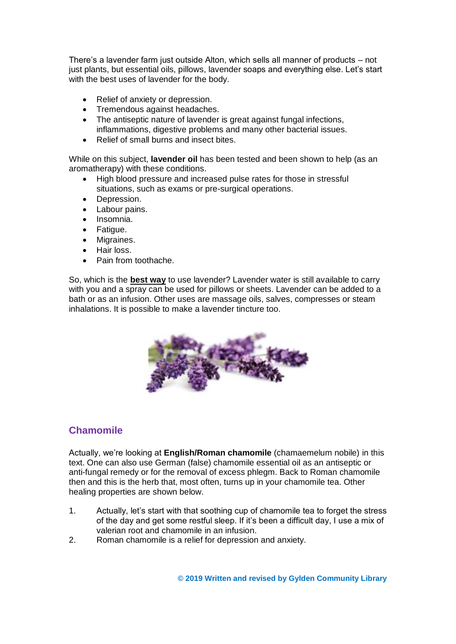There's a lavender farm just outside Alton, which sells all manner of products – not just plants, but essential oils, pillows, lavender soaps and everything else. Let's start with the best uses of lavender for the body.

- Relief of anxiety or depression.
- Tremendous against headaches.
- The antiseptic nature of lavender is great against fungal infections, inflammations, digestive problems and many other bacterial issues.
- Relief of small burns and insect bites.

While on this subject, **lavender oil** has been tested and been shown to help (as an aromatherapy) with these conditions.

- High blood pressure and increased pulse rates for those in stressful situations, such as exams or pre-surgical operations.
- Depression.
- Labour pains.
- Insomnia.
- Fatigue.
- Migraines.
- Hair loss.
- Pain from toothache.

So, which is the **best way** to use lavender? Lavender water is still available to carry with you and a spray can be used for pillows or sheets. Lavender can be added to a bath or as an infusion. Other uses are massage oils, salves, compresses or steam inhalations. It is possible to make a lavender tincture too.



## **Chamomile**

Actually, we're looking at **English/Roman chamomile** (chamaemelum nobile) in this text. One can also use German (false) chamomile essential oil as an antiseptic or anti-fungal remedy or for the removal of excess phlegm. Back to Roman chamomile then and this is the herb that, most often, turns up in your chamomile tea. Other healing properties are shown below.

- 1. Actually, let's start with that soothing cup of chamomile tea to forget the stress of the day and get some restful sleep. If it's been a difficult day, I use a mix of valerian root and chamomile in an infusion.
- 2. Roman chamomile is a relief for depression and anxiety.